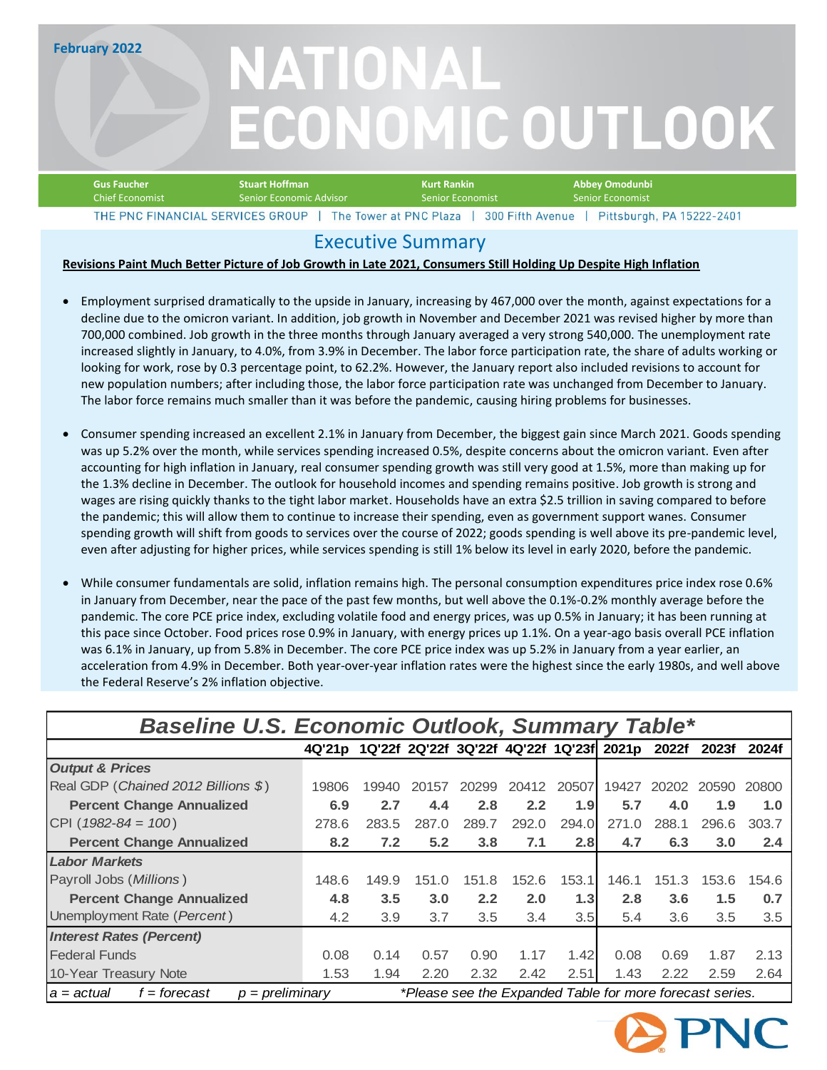**February 2022**

# NATIONAL **ECONOMIC OUTLOOK**

| <b>Gus Faucher</b>               | <b>Stuart Hoffman</b>   | Kurt Rankin                                | Abbev Omodunbi          |                           |
|----------------------------------|-------------------------|--------------------------------------------|-------------------------|---------------------------|
| <b>Chief Economist</b>           | Senior Economic Advisor | <b>Senior Economist</b>                    | <b>Senior Economist</b> |                           |
| THE PNC FINANCIAL SERVICES GROUP |                         | The Tower at PNC Plaza<br>300 Fifth Avenue |                         | Pittsburgh, PA 15222-2401 |

### Executive Summary

### **Revisions Paint Much Better Picture of Job Growth in Late 2021, Consumers Still Holding Up Despite High Inflation**

- Employment surprised dramatically to the upside in January, increasing by 467,000 over the month, against expectations for a decline due to the omicron variant. In addition, job growth in November and December 2021 was revised higher by more than 700,000 combined. Job growth in the three months through January averaged a very strong 540,000. The unemployment rate increased slightly in January, to 4.0%, from 3.9% in December. The labor force participation rate, the share of adults working or looking for work, rose by 0.3 percentage point, to 62.2%. However, the January report also included revisions to account for new population numbers; after including those, the labor force participation rate was unchanged from December to January. The labor force remains much smaller than it was before the pandemic, causing hiring problems for businesses.
- Consumer spending increased an excellent 2.1% in January from December, the biggest gain since March 2021. Goods spending was up 5.2% over the month, while services spending increased 0.5%, despite concerns about the omicron variant. Even after accounting for high inflation in January, real consumer spending growth was still very good at 1.5%, more than making up for the 1.3% decline in December. The outlook for household incomes and spending remains positive. Job growth is strong and wages are rising quickly thanks to the tight labor market. Households have an extra \$2.5 trillion in saving compared to before the pandemic; this will allow them to continue to increase their spending, even as government support wanes. Consumer spending growth will shift from goods to services over the course of 2022; goods spending is well above its pre-pandemic level, even after adjusting for higher prices, while services spending is still 1% below its level in early 2020, before the pandemic.
- While consumer fundamentals are solid, inflation remains high. The personal consumption expenditures price index rose 0.6% in January from December, near the pace of the past few months, but well above the 0.1%-0.2% monthly average before the pandemic. The core PCE price index, excluding volatile food and energy prices, was up 0.5% in January; it has been running at this pace since October. Food prices rose 0.9% in January, with energy prices up 1.1%. On a year-ago basis overall PCE inflation was 6.1% in January, up from 5.8% in December. The core PCE price index was up 5.2% in January from a year earlier, an acceleration from 4.9% in December. Both year-over-year inflation rates were the highest since the early 1980s, and well above the Federal Reserve's 2% inflation objective.

| <b>Baseline U.S. Economic Outlook, Summary Table*</b>                                                         |                                                 |       |       |       |       |       |       |       |       |       |
|---------------------------------------------------------------------------------------------------------------|-------------------------------------------------|-------|-------|-------|-------|-------|-------|-------|-------|-------|
|                                                                                                               | 4Q'21p 1Q'22f 2Q'22f 3Q'22f 4Q'22f 1Q'23f 2021p |       |       |       |       |       |       | 2022f | 2023f | 2024f |
| <b>Output &amp; Prices</b>                                                                                    |                                                 |       |       |       |       |       |       |       |       |       |
| Real GDP (Chained 2012 Billions \$)                                                                           | 19806                                           | 19940 | 20157 | 20299 | 20412 | 20507 | 19427 | 20202 | 20590 | 20800 |
| <b>Percent Change Annualized</b>                                                                              | 6.9                                             | 2.7   | 4.4   | 2.8   | 2.2   | 1.9   | 5.7   | 4.0   | 1.9   | 1.0   |
| CPI ( $1982 - 84 = 100$ )                                                                                     | 278.6                                           | 283.5 | 287.0 | 289.7 | 292.0 | 294.0 | 271.0 | 288.1 | 296.6 | 303.7 |
| <b>Percent Change Annualized</b>                                                                              | 8.2                                             | 7.2   | 5.2   | 3.8   | 7.1   | 2.8   | 4.7   | 6.3   | 3.0   | 2.4   |
| <b>Labor Markets</b>                                                                                          |                                                 |       |       |       |       |       |       |       |       |       |
| Payroll Jobs (Millions)                                                                                       | 148.6                                           | 149.9 | 151.0 | 151.8 | 152.6 | 153.1 | 146.1 | 151.3 | 153.6 | 154.6 |
| <b>Percent Change Annualized</b>                                                                              | 4.8                                             | 3.5   | 3.0   | 2.2   | 2.0   | 1.3   | 2.8   | 3.6   | 1.5   | 0.7   |
| Unemployment Rate (Percent)                                                                                   | 4.2                                             | 3.9   | 3.7   | 3.5   | 3.4   | 3.5   | 5.4   | 3.6   | 3.5   | 3.5   |
| <b>Interest Rates (Percent)</b>                                                                               |                                                 |       |       |       |       |       |       |       |       |       |
| <b>Federal Funds</b>                                                                                          | 0.08                                            | 0.14  | 0.57  | 0.90  | 1.17  | 1.42  | 0.08  | 0.69  | 1.87  | 2.13  |
| 10-Year Treasury Note                                                                                         | 1.53                                            | 1.94  | 2.20  | 2.32  | 2.42  | 2.51  | 1.43  | 2.22  | 2.59  | 2.64  |
| *Please see the Expanded Table for more forecast series.<br>f = forecast<br>$p = preliminary$<br>  a = actual |                                                 |       |       |       |       |       |       |       |       |       |

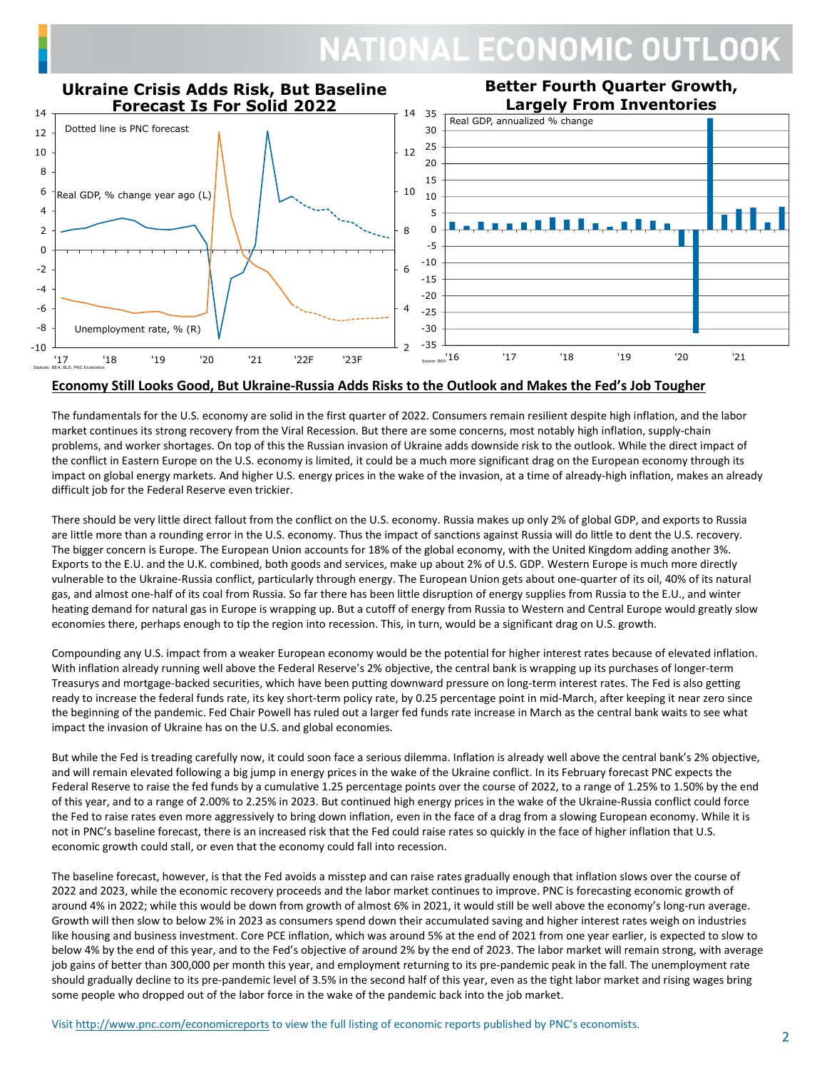

#### **Economy Still Looks Good, But Ukraine-Russia Adds Risks to the Outlook and Makes the Fed's Job Tougher**

The fundamentals for the U.S. economy are solid in the first quarter of 2022. Consumers remain resilient despite high inflation, and the labor market continues its strong recovery from the Viral Recession. But there are some concerns, most notably high inflation, supply-chain problems, and worker shortages. On top of this the Russian invasion of Ukraine adds downside risk to the outlook. While the direct impact of the conflict in Eastern Europe on the U.S. economy is limited, it could be a much more significant drag on the European economy through its impact on global energy markets. And higher U.S. energy prices in the wake of the invasion, at a time of already-high inflation, makes an already difficult job for the Federal Reserve even trickier.

There should be very little direct fallout from the conflict on the U.S. economy. Russia makes up only 2% of global GDP, and exports to Russia are little more than a rounding error in the U.S. economy. Thus the impact of sanctions against Russia will do little to dent the U.S. recovery. The bigger concern is Europe. The European Union accounts for 18% of the global economy, with the United Kingdom adding another 3%. Exports to the E.U. and the U.K. combined, both goods and services, make up about 2% of U.S. GDP. Western Europe is much more directly vulnerable to the Ukraine-Russia conflict, particularly through energy. The European Union gets about one-quarter of its oil, 40% of its natural gas, and almost one-half of its coal from Russia. So far there has been little disruption of energy supplies from Russia to the E.U., and winter heating demand for natural gas in Europe is wrapping up. But a cutoff of energy from Russia to Western and Central Europe would greatly slow economies there, perhaps enough to tip the region into recession. This, in turn, would be a significant drag on U.S. growth.

Compounding any U.S. impact from a weaker European economy would be the potential for higher interest rates because of elevated inflation. With inflation already running well above the Federal Reserve's 2% objective, the central bank is wrapping up its purchases of longer-term Treasurys and mortgage-backed securities, which have been putting downward pressure on long-term interest rates. The Fed is also getting ready to increase the federal funds rate, its key short-term policy rate, by 0.25 percentage point in mid-March, after keeping it near zero since the beginning of the pandemic. Fed Chair Powell has ruled out a larger fed funds rate increase in March as the central bank waits to see what impact the invasion of Ukraine has on the U.S. and global economies.

But while the Fed is treading carefully now, it could soon face a serious dilemma. Inflation is already well above the central bank's 2% objective, and will remain elevated following a big jump in energy prices in the wake of the Ukraine conflict. In its February forecast PNC expects the Federal Reserve to raise the fed funds by a cumulative 1.25 percentage points over the course of 2022, to a range of 1.25% to 1.50% by the end of this year, and to a range of 2.00% to 2.25% in 2023. But continued high energy prices in the wake of the Ukraine-Russia conflict could force the Fed to raise rates even more aggressively to bring down inflation, even in the face of a drag from a slowing European economy. While it is not in PNC's baseline forecast, there is an increased risk that the Fed could raise rates so quickly in the face of higher inflation that U.S. economic growth could stall, or even that the economy could fall into recession.

The baseline forecast, however, is that the Fed avoids a misstep and can raise rates gradually enough that inflation slows over the course of 2022 and 2023, while the economic recovery proceeds and the labor market continues to improve. PNC is forecasting economic growth of around 4% in 2022; while this would be down from growth of almost 6% in 2021, it would still be well above the economy's long-run average. Growth will then slow to below 2% in 2023 as consumers spend down their accumulated saving and higher interest rates weigh on industries like housing and business investment. Core PCE inflation, which was around 5% at the end of 2021 from one year earlier, is expected to slow to below 4% by the end of this year, and to the Fed's objective of around 2% by the end of 2023. The labor market will remain strong, with average job gains of better than 300,000 per month this year, and employment returning to its pre-pandemic peak in the fall. The unemployment rate should gradually decline to its pre-pandemic level of 3.5% in the second half of this year, even as the tight labor market and rising wages bring some people who dropped out of the labor force in the wake of the pandemic back into the job market.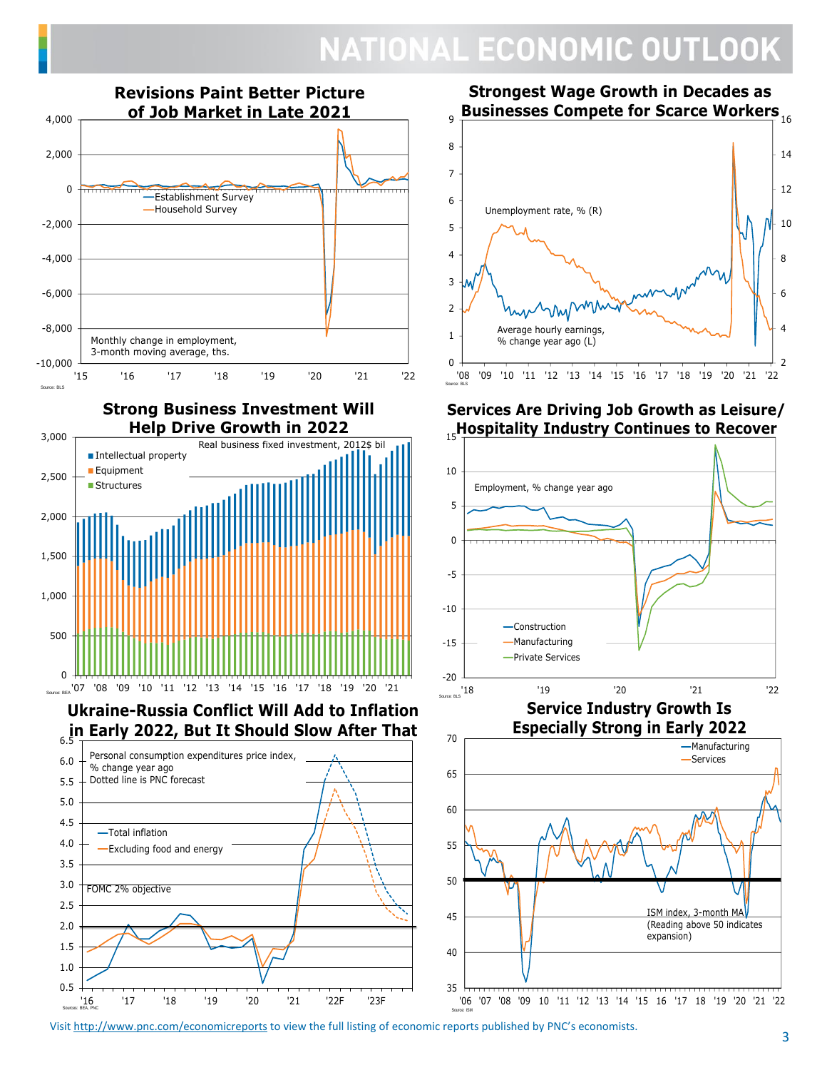

**Strongest Wage Growth in Decades as Businesses Compete for Scarce Workers** 16



### **Services Are Driving Job Growth as Leisure/ Hospitality Industry Continues to Recover** 15



Visit <u>http://www.pnc.com/economicreports</u> to view the full listing of economic reports published by PNC's economists.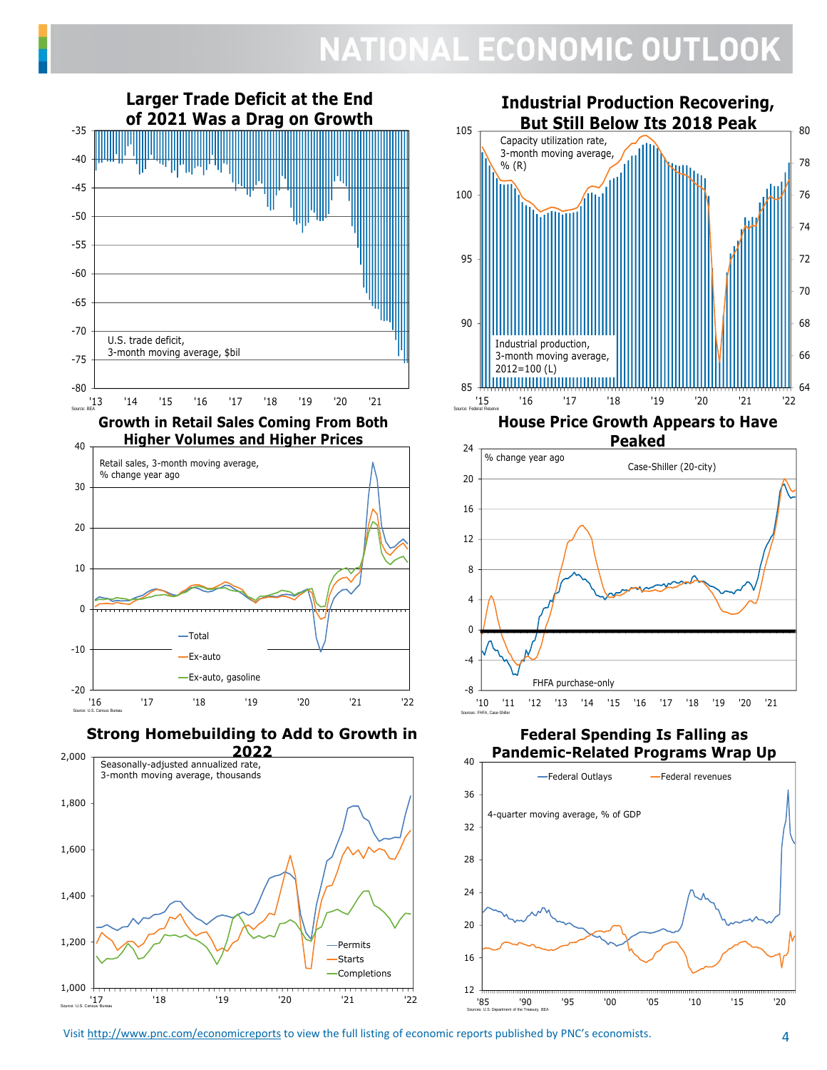

'17 '18 '19 '20 '21 '22

Source: U.S. Census Bureau